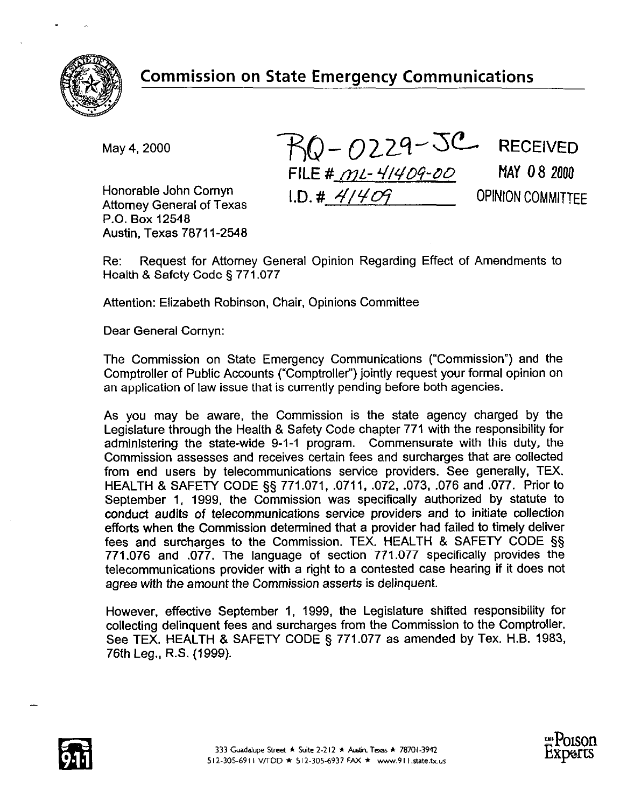

Honorable John Cornyn Attornev General of Texas P.O. Box 12548 Austin, Texas 78711-2548

 $M$ ay 4, 2000  $RQ - Q229 - 5C$  RECEIVED FILE # mL- 4/409-00 MAY 08 2000 **I.D. # 4/409 COPINION COMMITTEE** 

Re: Request for Attorney General Opinion Regarding Effect of Amendments to Health & Safety Code § 771.077

Attention: Elizabeth Robinson, Chair, Opinions Committee

Dear General Cornyn:

The Commission on State Emergency Communications ("Commission") and the Comptroller of Public Accounts ("Comptroller") jointly request your formal opinion on an application of law issue that is currently pending before both agencies.

As you may be aware, the Commission is the state agency charged by the Legislature through the Health & Safety Code chapter 771 with the responsibility for administering the state-wide 9-1-1 program. Commensurate with this duty, the Commission assesses and receives certain fees and surcharges that are collected from end users by telecommunications service providers. See generally, TEX. HEALTH & SAFETY CODE §§ 771.071, .0711, .072, .073. .076 and .077. Prior to September 1, 1999, the Commission was specifically authorized by statute to conduct audits of telecommunications service providers and to initiate collection efforts when the Commission determined that a provider had failed to timely deliver fees and surcharges to the Commission. TEX. HEALTH & SAFETY CODE §§ 771.076 and .077. The language of section 771.077 specifically provides the telecommunications provider with a right to a contested case hearing if it does not agree with the amount the Commission asserts is delinquent.

However, effective September 1, 1999, the Legislature shifted responsibility for collecting delinquent fees and surcharges from the Commission to the Comptroller. See TEX. HEALTH & SAFETY CODE § 771.077 as amended by Tex. H.B. 1983, 76th Leg., R.S. (1999).



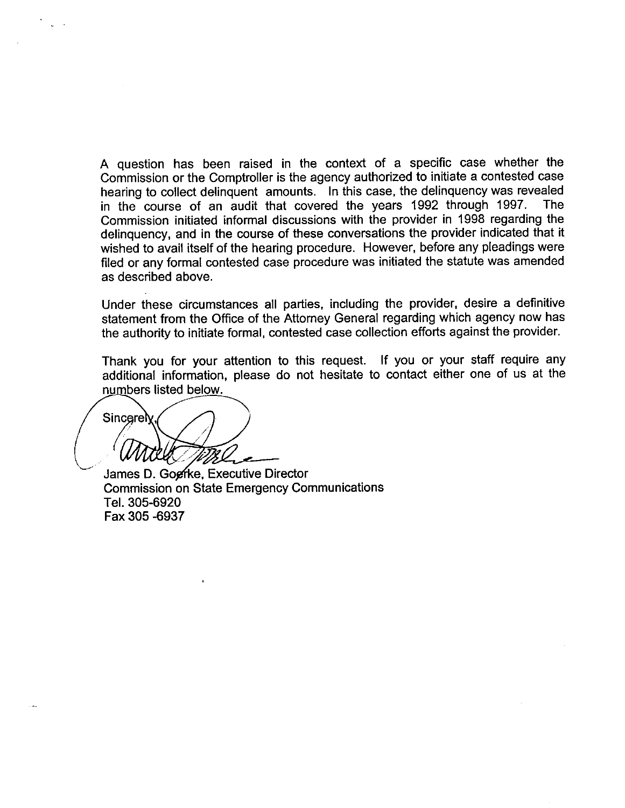A question has been raised in the context of a specific case whether the Commission or the Comptroller is the agency authorized to initiate a contested case hearing to collect delinquent amounts. In this case, the delinquency was revealed<br>in the course of an audit that covered the years 1992 through 1997. The in the course of an audit that covered the years 1992 through 1997. Commission initiated informal discussions with the provider in 1998 regarding the delinquency, and in the course of these conversations the provider indicated that it wished to avail itself of the hearing procedure. However, before any pleadings were filed or any formal contested case procedure was initiated the statute was amended as described above.

Under these circumstances all parties, including the provider, desire a definitive statement from the Office of the Attorney General regarding which agency now has the authority to initiate formal, contested case collection efforts against the provider.

Thank you for your attention to this request. If you or your staff require any additional information, please do not hesitate to contact either one of us at the numbers listed below.

Sincerely

James D. Gogfke, Executive Director Commission on State Emergency Communications Tel. 305-6920 Fax 305 -6937